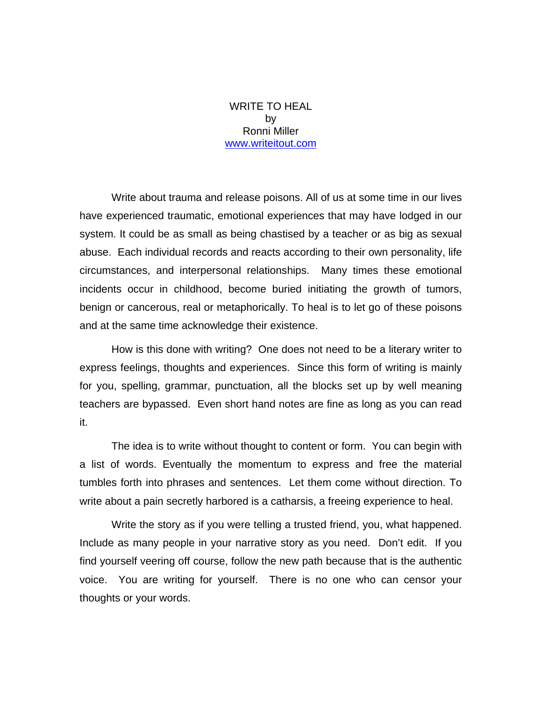## WRITE TO HEAL by Ronni Miller www.writeitout.com

 Write about trauma and release poisons. All of us at some time in our lives have experienced traumatic, emotional experiences that may have lodged in our system. It could be as small as being chastised by a teacher or as big as sexual abuse. Each individual records and reacts according to their own personality, life circumstances, and interpersonal relationships. Many times these emotional incidents occur in childhood, become buried initiating the growth of tumors, benign or cancerous, real or metaphorically. To heal is to let go of these poisons and at the same time acknowledge their existence.

 How is this done with writing? One does not need to be a literary writer to express feelings, thoughts and experiences. Since this form of writing is mainly for you, spelling, grammar, punctuation, all the blocks set up by well meaning teachers are bypassed. Even short hand notes are fine as long as you can read it.

 The idea is to write without thought to content or form. You can begin with a list of words. Eventually the momentum to express and free the material tumbles forth into phrases and sentences. Let them come without direction. To write about a pain secretly harbored is a catharsis, a freeing experience to heal.

 Write the story as if you were telling a trusted friend, you, what happened. Include as many people in your narrative story as you need. Don't edit. If you find yourself veering off course, follow the new path because that is the authentic voice. You are writing for yourself. There is no one who can censor your thoughts or your words.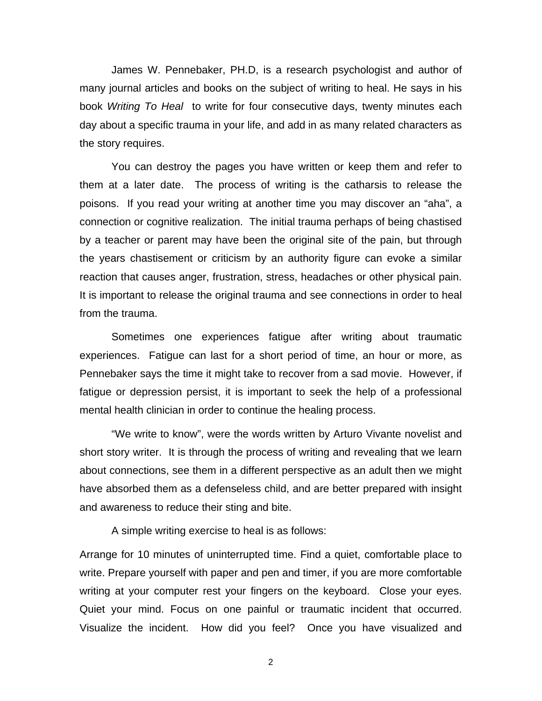James W. Pennebaker, PH.D, is a research psychologist and author of many journal articles and books on the subject of writing to heal. He says in his book *Writing To Heal* to write for four consecutive days, twenty minutes each day about a specific trauma in your life, and add in as many related characters as the story requires.

 You can destroy the pages you have written or keep them and refer to them at a later date. The process of writing is the catharsis to release the poisons. If you read your writing at another time you may discover an "aha", a connection or cognitive realization. The initial trauma perhaps of being chastised by a teacher or parent may have been the original site of the pain, but through the years chastisement or criticism by an authority figure can evoke a similar reaction that causes anger, frustration, stress, headaches or other physical pain. It is important to release the original trauma and see connections in order to heal from the trauma.

 Sometimes one experiences fatigue after writing about traumatic experiences. Fatigue can last for a short period of time, an hour or more, as Pennebaker says the time it might take to recover from a sad movie. However, if fatigue or depression persist, it is important to seek the help of a professional mental health clinician in order to continue the healing process.

 "We write to know", were the words written by Arturo Vivante novelist and short story writer. It is through the process of writing and revealing that we learn about connections, see them in a different perspective as an adult then we might have absorbed them as a defenseless child, and are better prepared with insight and awareness to reduce their sting and bite.

A simple writing exercise to heal is as follows:

Arrange for 10 minutes of uninterrupted time. Find a quiet, comfortable place to write. Prepare yourself with paper and pen and timer, if you are more comfortable writing at your computer rest your fingers on the keyboard. Close your eyes. Quiet your mind. Focus on one painful or traumatic incident that occurred. Visualize the incident. How did you feel? Once you have visualized and

2